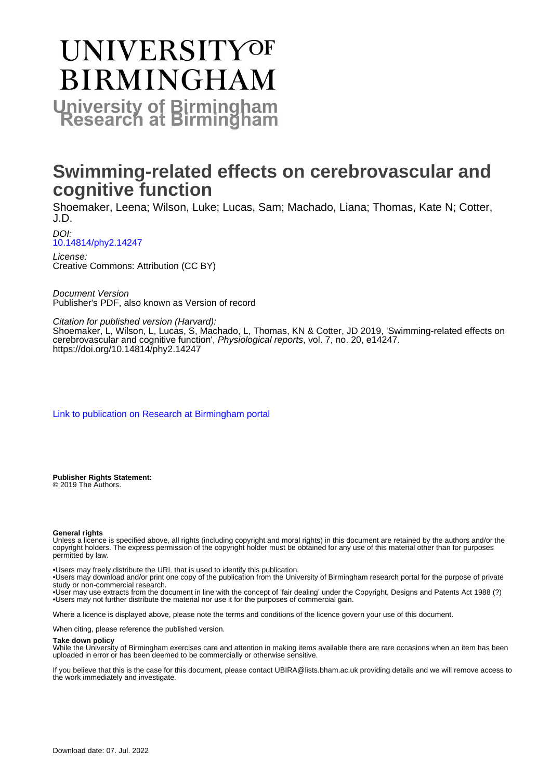# **UNIVERSITYOF BIRMINGHAM University of Birmingham**

# **Swimming-related effects on cerebrovascular and cognitive function**

Shoemaker, Leena; Wilson, Luke; Lucas, Sam; Machado, Liana; Thomas, Kate N; Cotter, J.D.

DOI: [10.14814/phy2.14247](https://doi.org/10.14814/phy2.14247)

License: Creative Commons: Attribution (CC BY)

Document Version Publisher's PDF, also known as Version of record

# Citation for published version (Harvard):

Shoemaker, L, Wilson, L, Lucas, S, Machado, L, Thomas, KN & Cotter, JD 2019, 'Swimming-related effects on cerebrovascular and cognitive function', Physiological reports, vol. 7, no. 20, e14247. <https://doi.org/10.14814/phy2.14247>

[Link to publication on Research at Birmingham portal](https://birmingham.elsevierpure.com/en/publications/3fd26ae1-654f-4586-8445-5a61ba348a27)

**Publisher Rights Statement:** © 2019 The Authors.

#### **General rights**

Unless a licence is specified above, all rights (including copyright and moral rights) in this document are retained by the authors and/or the copyright holders. The express permission of the copyright holder must be obtained for any use of this material other than for purposes permitted by law.

• Users may freely distribute the URL that is used to identify this publication.

• Users may download and/or print one copy of the publication from the University of Birmingham research portal for the purpose of private study or non-commercial research.

• User may use extracts from the document in line with the concept of 'fair dealing' under the Copyright, Designs and Patents Act 1988 (?) • Users may not further distribute the material nor use it for the purposes of commercial gain.

Where a licence is displayed above, please note the terms and conditions of the licence govern your use of this document.

When citing, please reference the published version.

#### **Take down policy**

While the University of Birmingham exercises care and attention in making items available there are rare occasions when an item has been uploaded in error or has been deemed to be commercially or otherwise sensitive.

If you believe that this is the case for this document, please contact UBIRA@lists.bham.ac.uk providing details and we will remove access to the work immediately and investigate.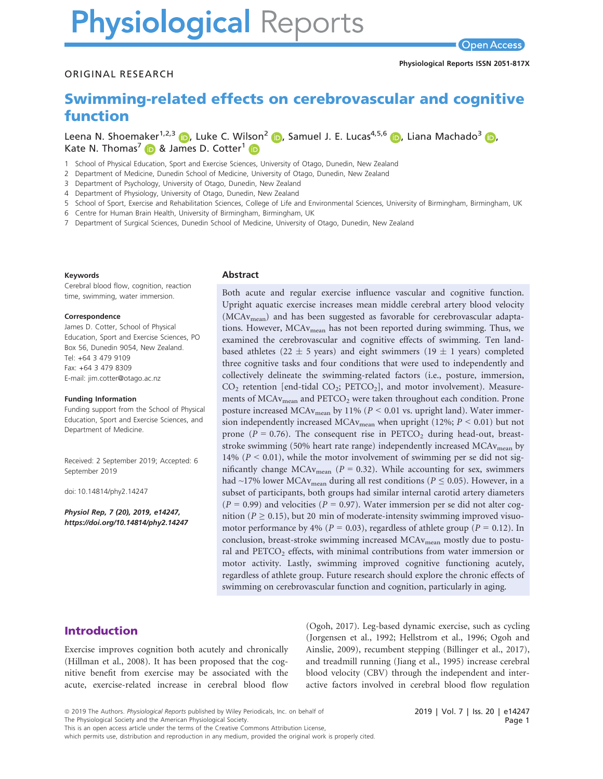# **Physiological Reports**

#### ORIGINAL RESEARCH

# Swimming-related effects on cerebrovascular and cognitive function

Leena N. Shoemaker<sup>1,2,[3](https://orcid.org/0000-0002-0856-3831)</sup> (b), Luke C. Wilson<sup>[2](https://orcid.org/0000-0003-2636-098X)</sup> (b), Samuel J. E. Lucas<sup>4,5,[6](https://orcid.org/0000-0002-8713-2457)</sup> (b), Liana Machado<sup>3</sup> (b), Kate N. Thomas<sup>7</sup> **b** & James D. Cotter<sup>1</sup> **b** 

1 School of Physical Education, Sport and Exercise Sciences, University of Otago, Dunedin, New Zealand

- 2 Department of Medicine, Dunedin School of Medicine, University of Otago, Dunedin, New Zealand
- 3 Department of Psychology, University of Otago, Dunedin, New Zealand
- 4 Department of Physiology, University of Otago, Dunedin, New Zealand
- 5 School of Sport, Exercise and Rehabilitation Sciences, College of Life and Environmental Sciences, University of Birmingham, Birmingham, UK
- 6 Centre for Human Brain Health, University of Birmingham, Birmingham, UK
- 7 Department of Surgical Sciences, Dunedin School of Medicine, University of Otago, Dunedin, New Zealand

#### Keywords

Cerebral blood flow, cognition, reaction time, swimming, water immersion.

#### Correspondence

James D. Cotter, School of Physical Education, Sport and Exercise Sciences, PO Box 56, Dunedin 9054, New Zealand. Tel: +64 3 479 9109 Fax: +64 3 479 8309 E-mail: [jim.cotter@otago.ac.nz](mailto:)

#### Funding Information

Funding support from the School of Physical Education, Sport and Exercise Sciences, and Department of Medicine.

Received: 2 September 2019; Accepted: 6 September 2019

doi: 10.14814/phy2.14247

Physiol Rep, 7 (20), 2019, e14247, <https://doi.org/10.14814/phy2.14247>

#### Abstract

Both acute and regular exercise influence vascular and cognitive function. Upright aquatic exercise increases mean middle cerebral artery blood velocity  $(MCAv<sub>mean</sub>)$  and has been suggested as favorable for cerebrovascular adaptations. However, MCAv<sub>mean</sub> has not been reported during swimming. Thus, we examined the cerebrovascular and cognitive effects of swimming. Ten landbased athletes (22  $\pm$  5 years) and eight swimmers (19  $\pm$  1 years) completed three cognitive tasks and four conditions that were used to independently and collectively delineate the swimming-related factors (i.e., posture, immersion,  $CO<sub>2</sub>$  retention [end-tidal  $CO<sub>2</sub>$ ; PETCO<sub>2</sub>], and motor involvement). Measurements of  $MCAv_{mean}$  and  $PETCO<sub>2</sub>$  were taken throughout each condition. Prone posture increased MCAv<sub>mean</sub> by 11% ( $P < 0.01$  vs. upright land). Water immersion independently increased MCA $v_{\text{mean}}$  when upright (12%;  $P < 0.01$ ) but not prone ( $P = 0.76$ ). The consequent rise in PETCO<sub>2</sub> during head-out, breaststroke swimming (50% heart rate range) independently increased  $MCAv_{mean}$  by 14% ( $P < 0.01$ ), while the motor involvement of swimming per se did not significantly change MCAv<sub>mean</sub> ( $P = 0.32$ ). While accounting for sex, swimmers had ~17% lower MCAv<sub>mean</sub> during all rest conditions ( $P \le 0.05$ ). However, in a subset of participants, both groups had similar internal carotid artery diameters  $(P = 0.99)$  and velocities  $(P = 0.97)$ . Water immersion per se did not alter cognition ( $P \ge 0.15$ ), but 20 min of moderate-intensity swimming improved visuomotor performance by 4% ( $P = 0.03$ ), regardless of athlete group ( $P = 0.12$ ). In conclusion, breast-stroke swimming increased MCAv<sub>mean</sub> mostly due to postural and  $PETCO<sub>2</sub>$  effects, with minimal contributions from water immersion or motor activity. Lastly, swimming improved cognitive functioning acutely, regardless of athlete group. Future research should explore the chronic effects of swimming on cerebrovascular function and cognition, particularly in aging.

# Introduction

Exercise improves cognition both acutely and chronically (Hillman et al., 2008). It has been proposed that the cognitive benefit from exercise may be associated with the acute, exercise-related increase in cerebral blood flow

(Ogoh, 2017). Leg-based dynamic exercise, such as cycling (Jorgensen et al., 1992; Hellstrom et al., 1996; Ogoh and Ainslie, 2009), recumbent stepping (Billinger et al., 2017), and treadmill running (Jiang et al., 1995) increase cerebral blood velocity (CBV) through the independent and interactive factors involved in cerebral blood flow regulation

The Physiological Society and the American Physiological Society.

which permits use, distribution and reproduction in any medium, provided the original work is properly cited.

<sup>ª</sup> 2019 The Authors. Physiological Reports published by Wiley Periodicals, Inc. on behalf of

This is an open access article under the terms of the [Creative Commons Attribution](http://creativecommons.org/licenses/by/4.0/) License,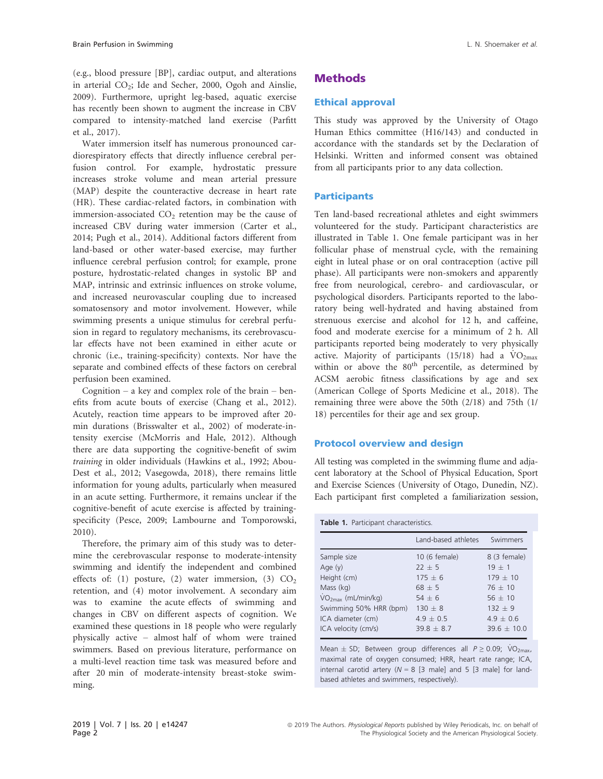(e.g., blood pressure [BP], cardiac output, and alterations in arterial  $CO<sub>2</sub>$ ; Ide and Secher, 2000, Ogoh and Ainslie, 2009). Furthermore, upright leg-based, aquatic exercise has recently been shown to augment the increase in CBV compared to intensity-matched land exercise (Parfitt et al., 2017).

Water immersion itself has numerous pronounced cardiorespiratory effects that directly influence cerebral perfusion control. For example, hydrostatic pressure increases stroke volume and mean arterial pressure (MAP) despite the counteractive decrease in heart rate (HR). These cardiac-related factors, in combination with immersion-associated  $CO<sub>2</sub>$  retention may be the cause of increased CBV during water immersion (Carter et al., 2014; Pugh et al., 2014). Additional factors different from land-based or other water-based exercise, may further influence cerebral perfusion control; for example, prone posture, hydrostatic-related changes in systolic BP and MAP, intrinsic and extrinsic influences on stroke volume, and increased neurovascular coupling due to increased somatosensory and motor involvement. However, while swimming presents a unique stimulus for cerebral perfusion in regard to regulatory mechanisms, its cerebrovascular effects have not been examined in either acute or chronic (i.e., training-specificity) contexts. Nor have the separate and combined effects of these factors on cerebral perfusion been examined.

Cognition – a key and complex role of the brain – benefits from acute bouts of exercise (Chang et al., 2012). Acutely, reaction time appears to be improved after 20 min durations (Brisswalter et al., 2002) of moderate-intensity exercise (McMorris and Hale, 2012). Although there are data supporting the cognitive-benefit of swim training in older individuals (Hawkins et al., 1992; Abou-Dest et al., 2012; Vasegowda, 2018), there remains little information for young adults, particularly when measured in an acute setting. Furthermore, it remains unclear if the cognitive-benefit of acute exercise is affected by trainingspecificity (Pesce, 2009; Lambourne and Tomporowski, 2010).

Therefore, the primary aim of this study was to determine the cerebrovascular response to moderate-intensity swimming and identify the independent and combined effects of: (1) posture, (2) water immersion, (3)  $CO<sub>2</sub>$ retention, and (4) motor involvement. A secondary aim was to examine the acute effects of swimming and changes in CBV on different aspects of cognition. We examined these questions in 18 people who were regularly physically active – almost half of whom were trained swimmers. Based on previous literature, performance on a multi-level reaction time task was measured before and after 20 min of moderate-intensity breast-stoke swimming.

# **Methods**

# Ethical approval

This study was approved by the University of Otago Human Ethics committee (H16/143) and conducted in accordance with the standards set by the Declaration of Helsinki. Written and informed consent was obtained from all participants prior to any data collection.

# **Participants**

Ten land-based recreational athletes and eight swimmers volunteered for the study. Participant characteristics are illustrated in Table 1. One female participant was in her follicular phase of menstrual cycle, with the remaining eight in luteal phase or on oral contraception (active pill phase). All participants were non-smokers and apparently free from neurological, cerebro- and cardiovascular, or psychological disorders. Participants reported to the laboratory being well-hydrated and having abstained from strenuous exercise and alcohol for 12 h, and caffeine, food and moderate exercise for a minimum of 2 h. All participants reported being moderately to very physically active. Majority of participants (15/18) had a  $\rm{VO_{2max}}$ within or above the  $80<sup>th</sup>$  percentile, as determined by ACSM aerobic fitness classifications by age and sex (American College of Sports Medicine et al., 2018). The remaining three were above the 50th (2/18) and 75th (1/ 18) percentiles for their age and sex group.

# Protocol overview and design

All testing was completed in the swimming flume and adjacent laboratory at the School of Physical Education, Sport and Exercise Sciences (University of Otago, Dunedin, NZ). Each participant first completed a familiarization session,

#### Table 1. Participant characteristics.

|                        | Land-based athletes | Swimmers      |
|------------------------|---------------------|---------------|
| Sample size            | 10 (6 female)       | 8 (3 female)  |
| Age $(y)$              | $22 + 5$            | $19 + 1$      |
| Height (cm)            | $175 + 6$           | $179 + 10$    |
| Mass (kg)              | $68 + 5$            | $76 + 10$     |
| $VO2max$ (mL/min/kg)   | $54 + 6$            | $56 + 10$     |
| Swimming 50% HRR (bpm) | $130 + 8$           | $132 + 9$     |
| ICA diameter (cm)      | $4.9 + 0.5$         | $4.9 + 0.6$   |
| ICA velocity (cm/s)    | $39.8 + 8.7$        | $39.6 + 10.0$ |

Mean  $\pm$  SD; Between group differences all  $P \ge 0.09$ ; VO<sub>2max</sub>, maximal rate of oxygen consumed; HRR, heart rate range; ICA, internal carotid artery ( $N = 8$  [3 male] and 5 [3 male] for landbased athletes and swimmers, respectively).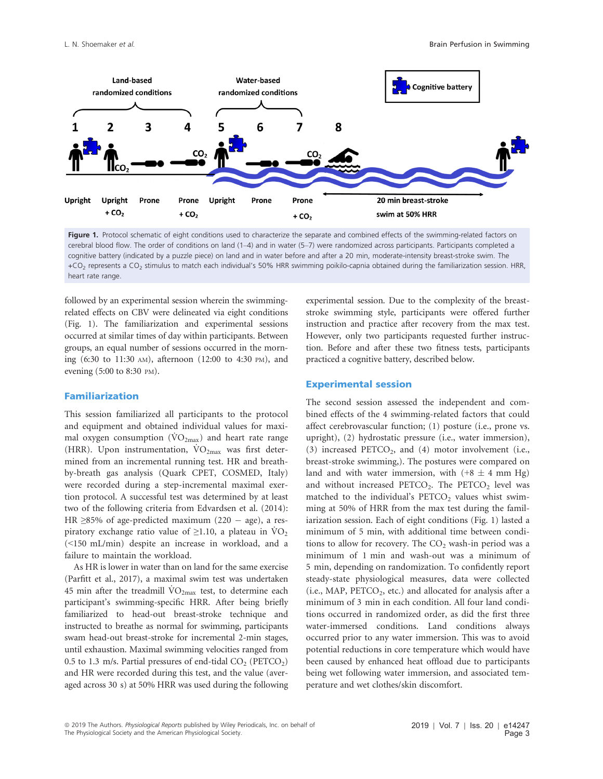

Figure 1. Protocol schematic of eight conditions used to characterize the separate and combined effects of the swimming-related factors on cerebral blood flow. The order of conditions on land (1–4) and in water (5–7) were randomized across participants. Participants completed a cognitive battery (indicated by a puzzle piece) on land and in water before and after a 20 min, moderate-intensity breast-stroke swim. The +CO<sub>2</sub> represents a CO<sub>2</sub> stimulus to match each individual's 50% HRR swimming poikilo-capnia obtained during the familiarization session. HRR, heart rate range.

followed by an experimental session wherein the swimmingrelated effects on CBV were delineated via eight conditions (Fig. 1). The familiarization and experimental sessions occurred at similar times of day within participants. Between groups, an equal number of sessions occurred in the morning (6:30 to 11:30 AM), afternoon (12:00 to 4:30 PM), and evening (5:00 to 8:30 PM).

#### Familiarization

This session familiarized all participants to the protocol and equipment and obtained individual values for maximal oxygen consumption ( $\rm \dot{VO}_{2max}$ ) and heart rate range (HRR). Upon instrumentation,  $\rm{VO_{2max}}$  was first determined from an incremental running test. HR and breathby-breath gas analysis (Quark CPET, COSMED, Italy) were recorded during a step-incremental maximal exertion protocol. A successful test was determined by at least two of the following criteria from Edvardsen et al. (2014): HR  $\geq$ 85% of age-predicted maximum (220 - age), a respiratory exchange ratio value of  $\geq 1.10$ , a plateau in VO<sub>2</sub> (<150 mL/min) despite an increase in workload, and a failure to maintain the workload.

As HR is lower in water than on land for the same exercise (Parfitt et al., 2017), a maximal swim test was undertaken 45 min after the treadmill  $\rm \dot{VO}_{2max}$  test, to determine each participant's swimming-specific HRR. After being briefly familiarized to head-out breast-stroke technique and instructed to breathe as normal for swimming, participants swam head-out breast-stroke for incremental 2-min stages, until exhaustion. Maximal swimming velocities ranged from 0.5 to 1.3 m/s. Partial pressures of end-tidal  $CO<sub>2</sub>$  (PETCO<sub>2</sub>) and HR were recorded during this test, and the value (averaged across 30 s) at 50% HRR was used during the following

experimental session. Due to the complexity of the breaststroke swimming style, participants were offered further instruction and practice after recovery from the max test. However, only two participants requested further instruction. Before and after these two fitness tests, participants practiced a cognitive battery, described below.

# Experimental session

The second session assessed the independent and combined effects of the 4 swimming-related factors that could affect cerebrovascular function; (1) posture (i.e., prone vs. upright), (2) hydrostatic pressure (i.e., water immersion), (3) increased  $PETCO<sub>2</sub>$ , and (4) motor involvement (i.e., breast-stroke swimming,). The postures were compared on land and with water immersion, with  $(+8 \pm 4 \text{ mm Hg})$ and without increased  $PETCO<sub>2</sub>$ . The  $PETCO<sub>2</sub>$  level was matched to the individual's  $PETCO<sub>2</sub>$  values whist swimming at 50% of HRR from the max test during the familiarization session. Each of eight conditions (Fig. 1) lasted a minimum of 5 min, with additional time between conditions to allow for recovery. The  $CO<sub>2</sub>$  wash-in period was a minimum of 1 min and wash-out was a minimum of 5 min, depending on randomization. To confidently report steady-state physiological measures, data were collected (i.e., MAP,  $PETCO<sub>2</sub>$ , etc.) and allocated for analysis after a minimum of 3 min in each condition. All four land conditions occurred in randomized order, as did the first three water-immersed conditions. Land conditions always occurred prior to any water immersion. This was to avoid potential reductions in core temperature which would have been caused by enhanced heat offload due to participants being wet following water immersion, and associated temperature and wet clothes/skin discomfort.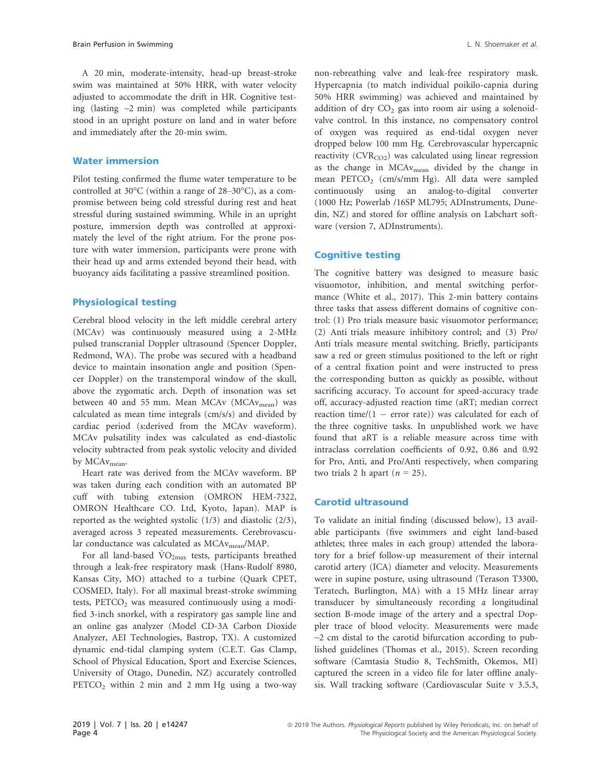A 20 min, moderate-intensity, head-up breast-stroke swim was maintained at 50% HRR, with water velocity adjusted to accommodate the drift in HR. Cognitive testing (lasting  $\sim$ 2 min) was completed while participants stood in an upright posture on land and in water before and immediately after the 20-min swim.

# Water immersion

Pilot testing confirmed the flume water temperature to be controlled at 30°C (within a range of 28–30°C), as a compromise between being cold stressful during rest and heat stressful during sustained swimming. While in an upright posture, immersion depth was controlled at approximately the level of the right atrium. For the prone posture with water immersion, participants were prone with their head up and arms extended beyond their head, with buoyancy aids facilitating a passive streamlined position.

# Physiological testing

Cerebral blood velocity in the left middle cerebral artery (MCAv) was continuously measured using a 2-MHz pulsed transcranial Doppler ultrasound (Spencer Doppler, Redmond, WA). The probe was secured with a headband device to maintain insonation angle and position (Spencer Doppler) on the transtemporal window of the skull, above the zygomatic arch. Depth of insonation was set between 40 and 55 mm. Mean MCAv  $(MCAv_{mean})$  was calculated as mean time integrals (cm/s/s) and divided by cardiac period (s:derived from the MCAv waveform). MCAv pulsatility index was calculated as end-diastolic velocity subtracted from peak systolic velocity and divided by MCAv<sub>mean</sub>.

Heart rate was derived from the MCAv waveform. BP was taken during each condition with an automated BP cuff with tubing extension (OMRON HEM-7322, OMRON Healthcare CO. Ltd, Kyoto, Japan). MAP is reported as the weighted systolic (1/3) and diastolic (2/3), averaged across 3 repeated measurements. Cerebrovascular conductance was calculated as MCAv<sub>mean</sub>/MAP.

For all land-based  $\rm VO_{2max}$  tests, participants breathed through a leak-free respiratory mask (Hans-Rudolf 8980, Kansas City, MO) attached to a turbine (Quark CPET, COSMED, Italy). For all maximal breast-stroke swimming tests,  $PETCO<sub>2</sub>$  was measured continuously using a modified 3-inch snorkel, with a respiratory gas sample line and an online gas analyzer (Model CD-3A Carbon Dioxide Analyzer, AEI Technologies, Bastrop, TX). A customized dynamic end-tidal clamping system (C.E.T. Gas Clamp, School of Physical Education, Sport and Exercise Sciences, University of Otago, Dunedin, NZ) accurately controlled  $PETCO<sub>2</sub>$  within 2 min and 2 mm Hg using a two-way non-rebreathing valve and leak-free respiratory mask. Hypercapnia (to match individual poikilo-capnia during 50% HRR swimming) was achieved and maintained by addition of dry  $CO<sub>2</sub>$  gas into room air using a solenoidvalve control. In this instance, no compensatory control of oxygen was required as end-tidal oxygen never dropped below 100 mm Hg. Cerebrovascular hypercapnic reactivity ( $CVR<sub>CO2</sub>$ ) was calculated using linear regression as the change in MCAvmean divided by the change in mean PETCO<sub>2</sub> (cm/s/mm Hg). All data were sampled continuously using an analog-to-digital converter (1000 Hz; Powerlab /16SP ML795; ADInstruments, Dunedin, NZ) and stored for offline analysis on Labchart software (version 7, ADInstruments).

#### Cognitive testing

The cognitive battery was designed to measure basic visuomotor, inhibition, and mental switching performance (White et al., 2017). This 2-min battery contains three tasks that assess different domains of cognitive control: (1) Pro trials measure basic visuomotor performance; (2) Anti trials measure inhibitory control; and (3) Pro/ Anti trials measure mental switching. Briefly, participants saw a red or green stimulus positioned to the left or right of a central fixation point and were instructed to press the corresponding button as quickly as possible, without sacrificing accuracy. To account for speed-accuracy trade off, accuracy-adjusted reaction time (aRT; median correct reaction time/ $(1 - error rate)$  was calculated for each of the three cognitive tasks. In unpublished work we have found that aRT is a reliable measure across time with intraclass correlation coefficients of 0.92, 0.86 and 0.92 for Pro, Anti, and Pro/Anti respectively, when comparing two trials 2 h apart  $(n = 25)$ .

#### Carotid ultrasound

To validate an initial finding (discussed below), 13 available participants (five swimmers and eight land-based athletes; three males in each group) attended the laboratory for a brief follow-up measurement of their internal carotid artery (ICA) diameter and velocity. Measurements were in supine posture, using ultrasound (Terason T3300, Teratech, Burlington, MA) with a 15 MHz linear array transducer by simultaneously recording a longitudinal section B-mode image of the artery and a spectral Doppler trace of blood velocity. Measurements were made  $\sim$ 2 cm distal to the carotid bifurcation according to published guidelines (Thomas et al., 2015). Screen recording software (Camtasia Studio 8, TechSmith, Okemos, MI) captured the screen in a video file for later offline analysis. Wall tracking software (Cardiovascular Suite v 3.5.3,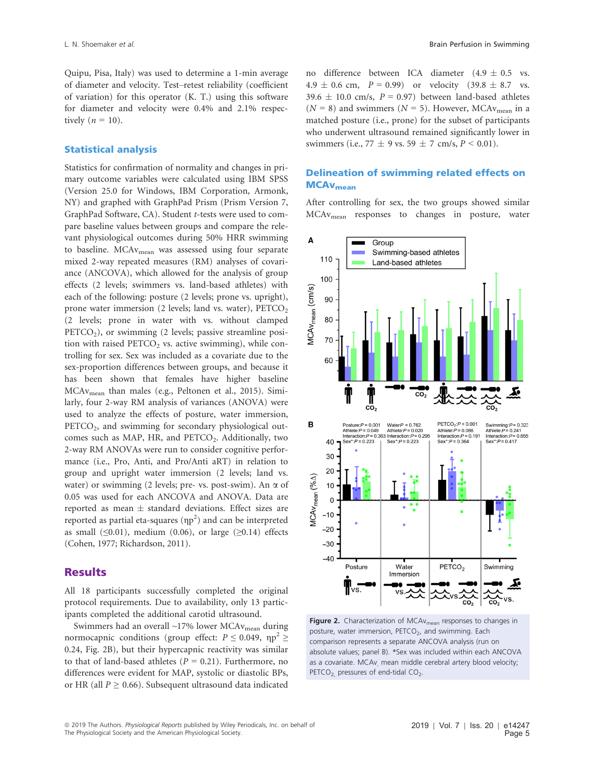Quipu, Pisa, Italy) was used to determine a 1-min average of diameter and velocity. Test–retest reliability (coefficient of variation) for this operator (K. T.) using this software for diameter and velocity were 0.4% and 2.1% respectively  $(n = 10)$ .

#### Statistical analysis

Statistics for confirmation of normality and changes in primary outcome variables were calculated using IBM SPSS (Version 25.0 for Windows, IBM Corporation, Armonk, NY) and graphed with GraphPad Prism (Prism Version 7, GraphPad Software, CA). Student t-tests were used to compare baseline values between groups and compare the relevant physiological outcomes during 50% HRR swimming to baseline. MCAv<sub>mean</sub> was assessed using four separate mixed 2-way repeated measures (RM) analyses of covariance (ANCOVA), which allowed for the analysis of group effects (2 levels; swimmers vs. land-based athletes) with each of the following: posture (2 levels; prone vs. upright), prone water immersion (2 levels; land vs. water),  $PETCO<sub>2</sub>$ (2 levels; prone in water with vs. without clamped  $PETCO<sub>2</sub>$ ), or swimming (2 levels; passive streamline position with raised  $PETCO<sub>2</sub>$  vs. active swimming), while controlling for sex. Sex was included as a covariate due to the sex-proportion differences between groups, and because it has been shown that females have higher baseline MCAvmean than males (e.g., Peltonen et al., 2015). Similarly, four 2-way RM analysis of variances (ANOVA) were used to analyze the effects of posture, water immersion, PETCO<sub>2</sub>, and swimming for secondary physiological outcomes such as MAP, HR, and PETCO<sub>2</sub>. Additionally, two 2-way RM ANOVAs were run to consider cognitive performance (i.e., Pro, Anti, and Pro/Anti aRT) in relation to group and upright water immersion (2 levels; land vs. water) or swimming (2 levels; pre- vs. post-swim). An  $\alpha$  of 0.05 was used for each ANCOVA and ANOVA. Data are reported as mean  $\pm$  standard deviations. Effect sizes are reported as partial eta-squares  $(\eta p^2)$  and can be interpreted as small  $(\leq 0.01)$ , medium  $(0.06)$ , or large  $(\geq 0.14)$  effects (Cohen, 1977; Richardson, 2011).

# **Results**

All 18 participants successfully completed the original protocol requirements. Due to availability, only 13 participants completed the additional carotid ultrasound.

Swimmers had an overall  $\sim$ 17% lower MCAv<sub>mean</sub> during normocapnic conditions (group effect:  $P \le 0.049$ ,  $\eta p^2 \ge$ 0.24, Fig. 2B), but their hypercapnic reactivity was similar to that of land-based athletes ( $P = 0.21$ ). Furthermore, no differences were evident for MAP, systolic or diastolic BPs, or HR (all  $P \ge 0.66$ ). Subsequent ultrasound data indicated

no difference between ICA diameter  $(4.9 \pm 0.5 \text{ vs.})$  $4.9 \pm 0.6$  cm,  $P = 0.99$  or velocity  $(39.8 \pm 8.7$  vs. 39.6  $\pm$  10.0 cm/s,  $P = 0.97$ ) between land-based athletes  $(N = 8)$  and swimmers  $(N = 5)$ . However, MCAv<sub>mean</sub> in a matched posture (i.e., prone) for the subset of participants who underwent ultrasound remained significantly lower in swimmers (i.e.,  $77 \pm 9$  vs.  $59 \pm 7$  cm/s,  $P < 0.01$ ).

# Delineation of swimming related effects on **MCAv**<sub>mean</sub>

After controlling for sex, the two groups showed similar MCAvmean responses to changes in posture, water



Figure 2. Characterization of MCAv<sub>mean</sub> responses to changes in posture, water immersion,  $PETCO<sub>2</sub>$ , and swimming. Each comparison represents a separate ANCOVA analysis (run on absolute values; panel B). \*Sex was included within each ANCOVA as a covariate. MCAv, mean middle cerebral artery blood velocity; PETCO<sub>2</sub> pressures of end-tidal CO<sub>2</sub>.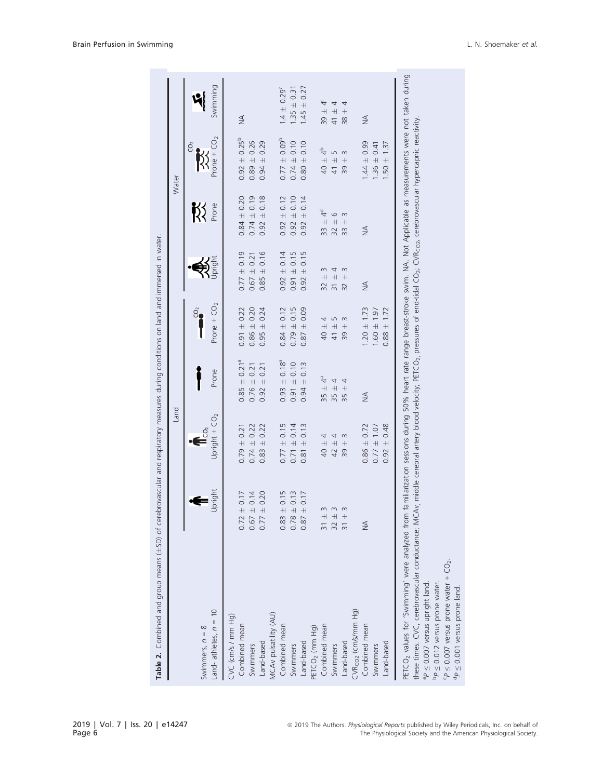| Upright<br>$\pm 0.14$<br>$\pm 0.15$<br>$\pm 0.13$<br>$\pm 0.20$<br>0.17<br>$\pm 0.17$<br>$\overline{+}$<br>0.72<br>0.83<br>0.78<br>0.67<br>0.87<br>0.77<br>Land-athletes, $n = 10$<br><b>MCAv</b> pulsatility (AU)<br>CVC (cm/s / mm Hg)<br>Combined mean<br>Combined mean<br>Swimmers, $n = 8$<br>$PETCO2$ (mm Hg)<br>Land-based<br>Land-based<br>Swimmers<br>Swimmers |                                                                                                                                                                     |                                                |                                       |                                       |                                  |                                           |                                              |
|-------------------------------------------------------------------------------------------------------------------------------------------------------------------------------------------------------------------------------------------------------------------------------------------------------------------------------------------------------------------------|---------------------------------------------------------------------------------------------------------------------------------------------------------------------|------------------------------------------------|---------------------------------------|---------------------------------------|----------------------------------|-------------------------------------------|----------------------------------------------|
|                                                                                                                                                                                                                                                                                                                                                                         |                                                                                                                                                                     |                                                | $\widetilde{\mathrm{S}}_{\bullet}$    |                                       | Ř₹                               | Ĉ,                                        |                                              |
|                                                                                                                                                                                                                                                                                                                                                                         | Upright + $CO2$                                                                                                                                                     | Prone                                          | Prone + $CO2$                         | Upright                               | Prone                            | Prone $+$ CO <sub>2</sub><br>$\bm{\beta}$ | Swimming                                     |
|                                                                                                                                                                                                                                                                                                                                                                         |                                                                                                                                                                     |                                                |                                       |                                       |                                  |                                           |                                              |
|                                                                                                                                                                                                                                                                                                                                                                         | $0.79 \pm 0.21$                                                                                                                                                     | $0.85 \pm 0.21^a$                              | $0.91 \pm 0.22$                       | $0.77 \pm 0.19$                       | $0.84 \pm 0.20$                  | $0.92 \pm 0.25^{b}$                       | $\frac{4}{2}$                                |
|                                                                                                                                                                                                                                                                                                                                                                         | ± 0.22<br>0.74                                                                                                                                                      | $0.76 \pm 0.21$                                | $0.86 \pm 0.20$                       | $\pm 0.21$<br>0.67                    | $\pm 0.19$<br>0.74               | $0.89 \pm 0.26$                           |                                              |
|                                                                                                                                                                                                                                                                                                                                                                         | $\pm 0.22$<br>0.83                                                                                                                                                  | 0.21<br>$\overline{+}$<br>0.92                 | ± 0.24<br>0.95                        | 0.16<br>$\overline{+}$<br>0.85        | 0.18<br>$\overline{+}$<br>0.92   | $\pm 0.29$<br>0.94                        |                                              |
|                                                                                                                                                                                                                                                                                                                                                                         |                                                                                                                                                                     |                                                |                                       |                                       |                                  |                                           |                                              |
|                                                                                                                                                                                                                                                                                                                                                                         | $\pm 0.15$<br>0.77                                                                                                                                                  | $0.18^{a}$<br>$0.93 +$                         | $0.84 \pm 0.12$                       | $\pm 0.14$<br>0.92                    | $0.92 \pm 0.12$                  | $0.77 \pm 0.09^{b}$                       | $1.4 \pm 0.29^{\circ}$                       |
|                                                                                                                                                                                                                                                                                                                                                                         | ± 0.14<br>0.71                                                                                                                                                      | $0.91 \pm 0.10$                                | $0.79 \pm 0.15$                       | $\pm 0.15$<br>0.91                    | $0.92 \pm 0.10$                  | $0.74 \pm 0.10$                           | $1.35 \pm 0.31$                              |
|                                                                                                                                                                                                                                                                                                                                                                         | 0.13<br>$\overline{+}$<br>0.81                                                                                                                                      | 0.13<br>$\overline{+}$<br>$\overline{94}$<br>ö | 0.09<br>$\overline{+}$<br>0.87        | 0.15<br>$\overline{+}$<br>0.92        | 0.14<br>$\overline{+}$<br>0.92   | 0.10<br>$0.80 +$                          | ± 0.27<br>1.45                               |
|                                                                                                                                                                                                                                                                                                                                                                         |                                                                                                                                                                     |                                                |                                       |                                       |                                  |                                           |                                              |
| $\sim$<br>$\frac{1}{3}$<br>Combined mean                                                                                                                                                                                                                                                                                                                                | 4<br>$\overline{+}$<br>$\overline{40}$                                                                                                                              | $\mathbf{f}^{\mathbf{a}}$<br>$35 +$            | 4<br>$40 +$                           | $\infty$<br>$\overline{+}$<br>32      | $\vec{r}$<br>$\overline{+}$<br>m | $\frac{d}{d}$<br>$40 +$                   | $\frac{a}{\sqrt{2}}$<br>$\overline{+}$<br>30 |
| $\infty$<br>$32 +$<br>Swimmers                                                                                                                                                                                                                                                                                                                                          | 4<br>$\overline{+}$<br>42                                                                                                                                           | 4<br>$35 +$                                    | S<br>$\overline{+}$<br>$\overline{4}$ | 4<br>$\overline{+}$<br>$\overline{5}$ | 6<br>$\overline{+}$<br>32        | LN<br>$\overline{+}$<br>$\frac{4}{3}$     | 4<br>$\overline{+}$<br>$\overline{4}$        |
| $\infty$<br>$\frac{1}{31}$<br>Land-based                                                                                                                                                                                                                                                                                                                                | 3<br>$\overline{+}$<br>39                                                                                                                                           | 4<br>$35 \pm$                                  | $\infty$<br>$\overline{+}$<br>39      | 3<br>$\overline{+}$<br>32             | $\infty$<br>$\overline{+}$<br>33 | $\infty$<br>$\overline{+}$<br>39          | 4<br>$\overline{+}$<br>38                    |
| CVRcoz (cm/s/mm Hg)                                                                                                                                                                                                                                                                                                                                                     |                                                                                                                                                                     |                                                |                                       |                                       |                                  |                                           |                                              |
| $\frac{1}{2}$<br>Combined mean                                                                                                                                                                                                                                                                                                                                          | $0.86 \pm 0.72$                                                                                                                                                     | $\frac{4}{2}$                                  | $1.20 \pm 1.73$                       | $\frac{4}{2}$                         | $\frac{4}{2}$                    | $1.44 \pm 0.99$                           | $\frac{4}{2}$                                |
| Swimmers                                                                                                                                                                                                                                                                                                                                                                | $0.77 \pm 1.07$                                                                                                                                                     |                                                | $1.60 \pm 1.97$                       |                                       |                                  | $.36 \pm 0.41$                            |                                              |
| Land-based                                                                                                                                                                                                                                                                                                                                                              | $0.92 \pm 0.48$                                                                                                                                                     |                                                | $0.88 \pm 1.72$                       |                                       |                                  | $.50 \pm 1.37$                            |                                              |
| PETCO <sub>2</sub> values for 'Swimming' were analyzed from familiarization sessions during 50% heart rate range breast-stroke swim. NA, Not Applicable as measurements were not taken during                                                                                                                                                                           |                                                                                                                                                                     |                                                |                                       |                                       |                                  |                                           |                                              |
| these times. CVC, cerebrovascular conductance; MC                                                                                                                                                                                                                                                                                                                       | Av, middle cerebral artery blood velocity; PETCO <sub>2,</sub> pressures of end-tidal CO <sub>2</sub> ; CVR <sub>CO2</sub> , cerebrovascular hypercapnic reactivity |                                                |                                       |                                       |                                  |                                           |                                              |
| $P \leq 0.007$ versus upright land.                                                                                                                                                                                                                                                                                                                                     |                                                                                                                                                                     |                                                |                                       |                                       |                                  |                                           |                                              |
| $P \leq 0.012$ versus prone water.                                                                                                                                                                                                                                                                                                                                      |                                                                                                                                                                     |                                                |                                       |                                       |                                  |                                           |                                              |
| $4P \leq 0.007$ versus prone water + CO <sub>2</sub> .<br>$-1 - 1$<br>dn $\sim$ 0.001 $\ldots$                                                                                                                                                                                                                                                                          |                                                                                                                                                                     |                                                |                                       |                                       |                                  |                                           |                                              |

2019 | Vol. 7 | Iss. 20 | e14247 Page 6

م<br>ح

≤ 0.001 versus prone land.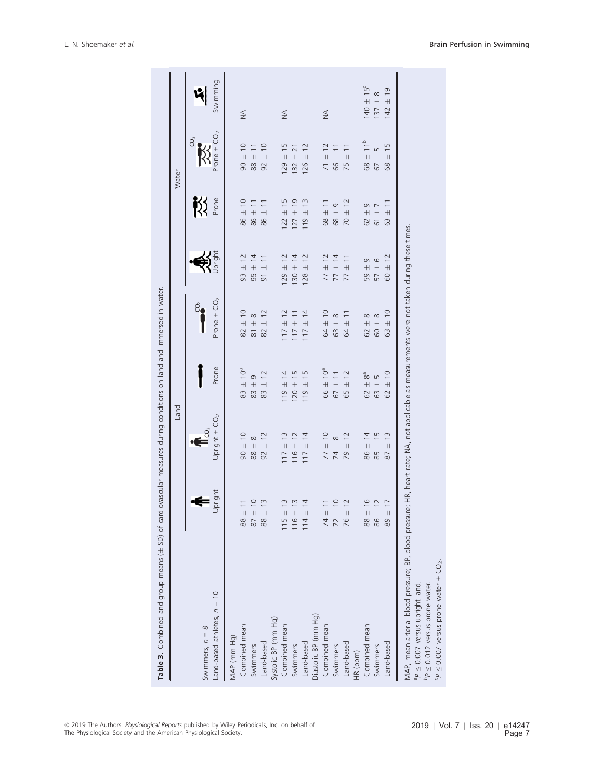|                                                                                                                                                                                                                                   |                            | Land                                     |                        |                                                   |                                  |                                        | Water                                  |                       |
|-----------------------------------------------------------------------------------------------------------------------------------------------------------------------------------------------------------------------------------|----------------------------|------------------------------------------|------------------------|---------------------------------------------------|----------------------------------|----------------------------------------|----------------------------------------|-----------------------|
| Swimmers, $n = 8$                                                                                                                                                                                                                 |                            |                                          |                        | $\mathring{\mathrm{S}}_{\bullet}$                 |                                  | 腅                                      | $\widetilde{\mathbf{C}}$<br>$\aleph$   |                       |
| Land-based athletes, $n = 10$                                                                                                                                                                                                     |                            | Upright + $CO2$                          | Prone                  | Prone + $CO2$                                     | Jpright                          | Prone                                  | Prone + $CO2$                          | Swimming              |
| MAP (mm Hg)                                                                                                                                                                                                                       |                            |                                          |                        |                                                   |                                  |                                        |                                        |                       |
| Combined mean                                                                                                                                                                                                                     | $88 \pm 7$                 | $-10$                                    | $83 \pm 10^{a}$        | $\pm 10$<br>82                                    | $93 \pm 12$                      | $\pm 10$<br>$\frac{8}{8}$              | $90 \pm 10$                            | $\frac{4}{2}$         |
| Swimmers                                                                                                                                                                                                                          | $87 \pm 10$                | $\infty$<br>$88 +$                       | $83 + 9$               | $\infty$<br>$\overline{+}$<br>$\overline{\infty}$ | $95 \pm 14$                      | $86 \pm 11$                            | $\equiv$<br>$\pm 88$                   |                       |
| Land-based                                                                                                                                                                                                                        | $88 \pm 13$                | $\overline{c}$<br>$92 \pm$               | $83 + 12$              | ± 12<br>82                                        | $\overline{11}$<br>$-14$         | $\overline{1}$<br>$\overline{+}$<br>86 | $\overline{0}$<br>$\overline{+}$<br>92 |                       |
| Systolic BP (mm Hg)                                                                                                                                                                                                               |                            |                                          |                        |                                                   |                                  |                                        |                                        |                       |
| Combined mean                                                                                                                                                                                                                     | $\pm$ 13<br>15             | $\frac{1}{2}$<br>$\overline{+}$<br>117   | $19 \pm 14$            | $117 \pm 12$                                      | $129 \pm 12$                     | $122 \pm 15$                           | $\pm$ 15<br><b>129</b>                 | $\frac{4}{2}$         |
| Swimmers                                                                                                                                                                                                                          | $116 \pm 13$               | ± 12<br>116                              | $120 \pm 15$           | $117 \pm 11$                                      | $130 \pm 14$                     | $\pm 19$<br>127                        | ± 21<br>132                            |                       |
| Land-based                                                                                                                                                                                                                        | $114 \pm 14$               | $\overline{14}$<br>$\overline{+}$<br>117 | $119 \pm 15$           | $117 \pm 14$                                      | ± 12<br>128                      | $\pm$ 13<br>119                        | $\pm$ 12<br>126                        |                       |
| Diastolic BP (mm Hg)                                                                                                                                                                                                              |                            |                                          |                        |                                                   |                                  |                                        |                                        |                       |
| Combined mean                                                                                                                                                                                                                     |                            | $\overline{a}$<br>$77 \pm$               | $66 \pm 10^{a}$        | $64 \pm 10$                                       | $77 \pm 12$                      | $68 \pm 11$                            | ± 12<br>$\overline{7}$                 | $\frac{4}{2}$         |
| Swimmers                                                                                                                                                                                                                          | $74 \pm 11$<br>$72 \pm 10$ | $\infty$<br>$74 \pm$                     | $67 \pm 11$            | $\infty$<br>63 ±                                  | $77 \pm 14$                      | $68 + 8$                               | $\equiv$<br>$66 \pm$                   |                       |
| Land-based                                                                                                                                                                                                                        | $76 \pm 12$                | $\overline{c}$<br>$\overline{+}$<br>79   | ± 12<br>65             | $\overline{1}$<br>$\overline{+}$<br>64            | $\equiv$<br>$\overline{+}$<br>77 | ± 12<br>70                             | $\equiv$<br>$\overline{+}$<br>75       |                       |
| HR (bpm)                                                                                                                                                                                                                          |                            |                                          |                        |                                                   |                                  |                                        |                                        |                       |
| Combined mean                                                                                                                                                                                                                     | $88 \pm 16$                | $86 \pm 14$                              | $62 + 8^{a}$           | $\infty$<br>$62 +$                                | 9<br>$59 +$                      | $\circ$<br>$\overline{+}$<br>62        | 11 <sup>b</sup><br>$68 +$              | $140 \pm 15^{\circ}$  |
| Swimmers                                                                                                                                                                                                                          | $86 \pm 12$                | $85 \pm 15$                              | $\overline{5}$<br>63 ± | $\infty$<br>$60 +$                                | $57 \pm 6$                       | $\overline{ }$<br>$\overline{+}$<br>61 | ഥ<br>$67 \pm$                          | $\infty$<br>$137 \pm$ |
| Land-based                                                                                                                                                                                                                        | $89 \pm 17$                | $\frac{1}{2}$<br>$\overline{+}$<br>87    | ± 10<br>62             | $\overline{a}$<br>$\overline{+}$<br>63            | 12<br>$\overline{+}$<br>60       | $+11$<br>63                            | 15<br>$\overline{+}$<br>68             | $\pm$ 19<br>142       |
| MAP, mean arterial blood pressure; BP, blood pressure; HR, heart rate; NA, not applicable as measurements were not taken during these times.<br>${}^{a}P \leq 0.007$ versus upright land.<br>$b_P \leq 0.012$ versus prone water. |                            |                                          |                        |                                                   |                                  |                                        |                                        |                       |

Table 3. Combined and group means (

Table 3. Combined and group means (± SD) of cardiovascular measures during conditions on land and immersed in water.

SD) of cardiovascular measures during conditions on land and immersed in water.

م<br>ب

 $P \leq 0.007$  versus prone water + CO<sub>2</sub>.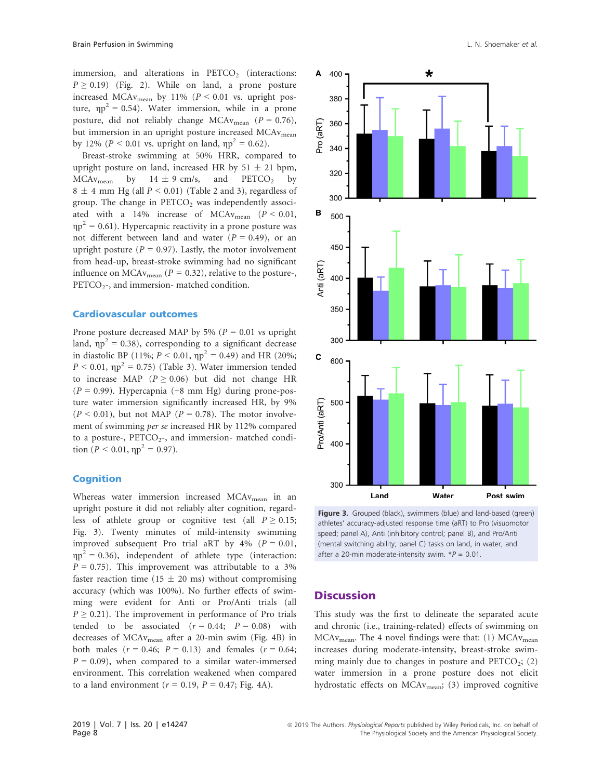immersion, and alterations in  $PETCO<sub>2</sub>$  (interactions:  $P \ge 0.19$ ) (Fig. 2). While on land, a prone posture increased MCAv<sub>mean</sub> by 11% ( $P < 0.01$  vs. upright posture,  $np^2 = 0.54$ ). Water immersion, while in a prone posture, did not reliably change MCAv<sub>mean</sub> ( $P = 0.76$ ), but immersion in an upright posture increased  $MCAv_{mean}$ by 12% ( $P < 0.01$  vs. upright on land,  $np^2 = 0.62$ ).

Breast-stroke swimming at 50% HRR, compared to upright posture on land, increased HR by  $51 \pm 21$  bpm,<br>MCAv<sub>mean</sub> by  $14 \pm 9$  cm/s, and PETCO<sub>2</sub> by  $MCAv_{mean}$  by 14  $\pm$  9 cm/s, and PETCO<sub>2</sub>  $8 \pm 4$  mm Hg (all  $P < 0.01$ ) (Table 2 and 3), regardless of group. The change in  $PETCO<sub>2</sub>$  was independently associated with a 14% increase of MCAv<sub>mean</sub> ( $P < 0.01$ ,  $np^2 = 0.61$ ). Hypercapnic reactivity in a prone posture was not different between land and water ( $P = 0.49$ ), or an upright posture ( $P = 0.97$ ). Lastly, the motor involvement from head-up, breast-stroke swimming had no significant influence on MCAv<sub>mean</sub> ( $P = 0.32$ ), relative to the posture-,  $PETCO<sub>2</sub>$ -, and immersion- matched condition.

#### Cardiovascular outcomes

Prone posture decreased MAP by 5% ( $P = 0.01$  vs upright land,  $np^2 = 0.38$ ), corresponding to a significant decrease in diastolic BP (11%;  $P < 0.01$ ,  $np^2 = 0.49$ ) and HR (20%;  $P < 0.01$ ,  $\eta p^2 = 0.75$ ) (Table 3). Water immersion tended to increase MAP ( $P \ge 0.06$ ) but did not change HR  $(P = 0.99)$ . Hypercapnia (+8 mm Hg) during prone-posture water immersion significantly increased HR, by 9%  $(P < 0.01)$ , but not MAP  $(P = 0.78)$ . The motor involvement of swimming per se increased HR by 112% compared to a posture-,  $PETCO<sub>2</sub>$ -, and immersion- matched condition ( $P < 0.01$ ,  $np^2 = 0.97$ ).

#### **Cognition**

Whereas water immersion increased MCAv<sub>mean</sub> in an upright posture it did not reliably alter cognition, regardless of athlete group or cognitive test (all  $P \ge 0.15$ ; Fig. 3). Twenty minutes of mild-intensity swimming improved subsequent Pro trial aRT by  $4\%$  ( $P = 0.01$ ,  $np^2 = 0.36$ ), independent of athlete type (interaction:  $P = 0.75$ ). This improvement was attributable to a 3% faster reaction time (15  $\pm$  20 ms) without compromising accuracy (which was 100%). No further effects of swimming were evident for Anti or Pro/Anti trials (all  $P \geq 0.21$ ). The improvement in performance of Pro trials tended to be associated  $(r = 0.44; P = 0.08)$  with decreases of MCAvmean after a 20-min swim (Fig. 4B) in both males  $(r = 0.46; P = 0.13)$  and females  $(r = 0.64;$  $P = 0.09$ ), when compared to a similar water-immersed environment. This correlation weakened when compared to a land environment ( $r = 0.19$ ,  $P = 0.47$ ; Fig. 4A).



Figure 3. Grouped (black), swimmers (blue) and land-based (green) athletes' accuracy-adjusted response time (aRT) to Pro (visuomotor speed; panel A), Anti (inhibitory control; panel B), and Pro/Anti (mental switching ability; panel C) tasks on land, in water, and after a 20-min moderate-intensity swim.  $*P = 0.01$ .

# **Discussion**

This study was the first to delineate the separated acute and chronic (i.e., training-related) effects of swimming on  $MCAv$ <sub>mean</sub>. The 4 novel findings were that: (1)  $MCAv$ <sub>mean</sub> increases during moderate-intensity, breast-stroke swimming mainly due to changes in posture and  $PETCO<sub>2</sub>$ ; (2) water immersion in a prone posture does not elicit hydrostatic effects on MCAvmean; (3) improved cognitive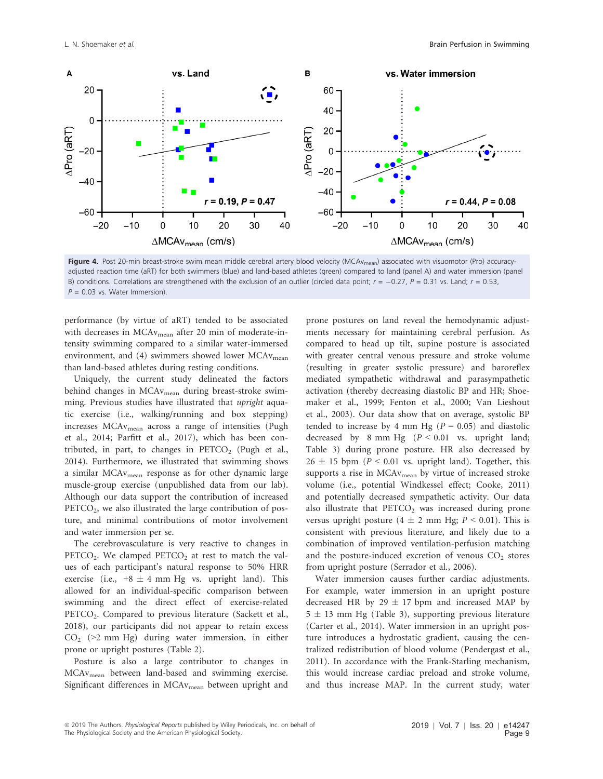

Figure 4. Post 20-min breast-stroke swim mean middle cerebral artery blood velocity (MCAv<sub>mean</sub>) associated with visuomotor (Pro) accuracyadjusted reaction time (aRT) for both swimmers (blue) and land-based athletes (green) compared to land (panel A) and water immersion (panel B) conditions. Correlations are strengthened with the exclusion of an outlier (circled data point;  $r = -0.27$ ,  $P = 0.31$  vs. Land;  $r = 0.53$ ,  $P = 0.03$  vs. Water Immersion).

performance (by virtue of aRT) tended to be associated with decreases in  $MCAv_{mean}$  after 20 min of moderate-intensity swimming compared to a similar water-immersed environment, and  $(4)$  swimmers showed lower MCA $v_{\text{mean}}$ than land-based athletes during resting conditions.

Uniquely, the current study delineated the factors behind changes in  $MCAv_{mean}$  during breast-stroke swimming. Previous studies have illustrated that upright aquatic exercise (i.e., walking/running and box stepping) increases MCAv<sub>mean</sub> across a range of intensities (Pugh et al., 2014; Parfitt et al., 2017), which has been contributed, in part, to changes in  $PETCO<sub>2</sub>$  (Pugh et al., 2014). Furthermore, we illustrated that swimming shows a similar MCAv<sub>mean</sub> response as for other dynamic large muscle-group exercise (unpublished data from our lab). Although our data support the contribution of increased  $PETCO<sub>2</sub>$ , we also illustrated the large contribution of posture, and minimal contributions of motor involvement and water immersion per se.

The cerebrovasculature is very reactive to changes in  $PETCO<sub>2</sub>$ . We clamped  $PETCO<sub>2</sub>$  at rest to match the values of each participant's natural response to 50% HRR exercise (i.e.,  $+8 \pm 4$  mm Hg vs. upright land). This allowed for an individual-specific comparison between swimming and the direct effect of exercise-related PETCO<sub>2</sub>. Compared to previous literature (Sackett et al., 2018), our participants did not appear to retain excess  $CO<sub>2</sub>$  (>2 mm Hg) during water immersion, in either prone or upright postures (Table 2).

Posture is also a large contributor to changes in MCAvmean between land-based and swimming exercise. Significant differences in MCAvmean between upright and

prone postures on land reveal the hemodynamic adjustments necessary for maintaining cerebral perfusion. As compared to head up tilt, supine posture is associated with greater central venous pressure and stroke volume (resulting in greater systolic pressure) and baroreflex mediated sympathetic withdrawal and parasympathetic activation (thereby decreasing diastolic BP and HR; Shoemaker et al., 1999; Fenton et al., 2000; Van Lieshout et al., 2003). Our data show that on average, systolic BP tended to increase by 4 mm Hg ( $P = 0.05$ ) and diastolic decreased by 8 mm Hg  $(P < 0.01$  vs. upright land; Table 3) during prone posture. HR also decreased by  $26 \pm 15$  bpm ( $P < 0.01$  vs. upright land). Together, this supports a rise in MCAv<sub>mean</sub> by virtue of increased stroke volume (i.e., potential Windkessel effect; Cooke, 2011) and potentially decreased sympathetic activity. Our data also illustrate that  $PETCO<sub>2</sub>$  was increased during prone versus upright posture  $(4 \pm 2 \text{ mm Hg}; P \le 0.01)$ . This is consistent with previous literature, and likely due to a combination of improved ventilation-perfusion matching and the posture-induced excretion of venous  $CO<sub>2</sub>$  stores from upright posture (Serrador et al., 2006).

Water immersion causes further cardiac adjustments. For example, water immersion in an upright posture decreased HR by 29  $\pm$  17 bpm and increased MAP by  $5 \pm 13$  mm Hg (Table 3), supporting previous literature (Carter et al., 2014). Water immersion in an upright posture introduces a hydrostatic gradient, causing the centralized redistribution of blood volume (Pendergast et al., 2011). In accordance with the Frank-Starling mechanism, this would increase cardiac preload and stroke volume, and thus increase MAP. In the current study, water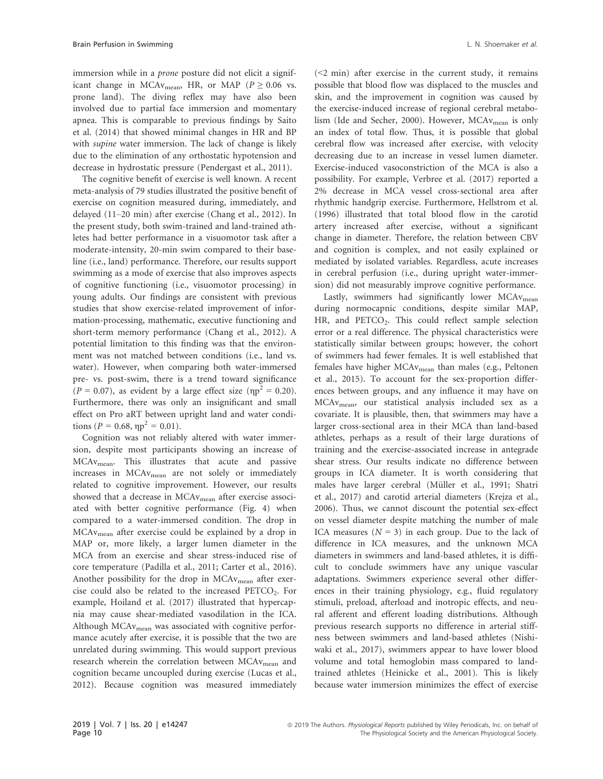immersion while in a *prone* posture did not elicit a significant change in MCAv<sub>mean</sub>, HR, or MAP ( $P \ge 0.06$  vs. prone land). The diving reflex may have also been involved due to partial face immersion and momentary apnea. This is comparable to previous findings by Saito et al. (2014) that showed minimal changes in HR and BP with *supine* water immersion. The lack of change is likely due to the elimination of any orthostatic hypotension and decrease in hydrostatic pressure (Pendergast et al., 2011).

The cognitive benefit of exercise is well known. A recent meta-analysis of 79 studies illustrated the positive benefit of exercise on cognition measured during, immediately, and delayed (11–20 min) after exercise (Chang et al., 2012). In the present study, both swim-trained and land-trained athletes had better performance in a visuomotor task after a moderate-intensity, 20-min swim compared to their baseline (i.e., land) performance. Therefore, our results support swimming as a mode of exercise that also improves aspects of cognitive functioning (i.e., visuomotor processing) in young adults. Our findings are consistent with previous studies that show exercise-related improvement of information-processing, mathematic, executive functioning and short-term memory performance (Chang et al., 2012). A potential limitation to this finding was that the environment was not matched between conditions (i.e., land vs. water). However, when comparing both water-immersed pre- vs. post-swim, there is a trend toward significance  $(P = 0.07)$ , as evident by a large effect size  $(\text{np}^2 = 0.20)$ . Furthermore, there was only an insignificant and small effect on Pro aRT between upright land and water conditions ( $P = 0.68$ ,  $np^2 = 0.01$ ).

Cognition was not reliably altered with water immersion, despite most participants showing an increase of MCAvmean. This illustrates that acute and passive increases in MCAv<sub>mean</sub> are not solely or immediately related to cognitive improvement. However, our results showed that a decrease in MCAv<sub>mean</sub> after exercise associated with better cognitive performance (Fig. 4) when compared to a water-immersed condition. The drop in MCAvmean after exercise could be explained by a drop in MAP or, more likely, a larger lumen diameter in the MCA from an exercise and shear stress-induced rise of core temperature (Padilla et al., 2011; Carter et al., 2016). Another possibility for the drop in MCAv<sub>mean</sub> after exercise could also be related to the increased  $PETCO<sub>2</sub>$ . For example, Hoiland et al. (2017) illustrated that hypercapnia may cause shear-mediated vasodilation in the ICA. Although MCAv<sub>mean</sub> was associated with cognitive performance acutely after exercise, it is possible that the two are unrelated during swimming. This would support previous research wherein the correlation between MCAv<sub>mean</sub> and cognition became uncoupled during exercise (Lucas et al., 2012). Because cognition was measured immediately

(<2 min) after exercise in the current study, it remains possible that blood flow was displaced to the muscles and skin, and the improvement in cognition was caused by the exercise-induced increase of regional cerebral metabolism (Ide and Secher, 2000). However, MCA $v_{\text{mean}}$  is only an index of total flow. Thus, it is possible that global cerebral flow was increased after exercise, with velocity decreasing due to an increase in vessel lumen diameter. Exercise-induced vasoconstriction of the MCA is also a possibility. For example, Verbree et al. (2017) reported a 2% decrease in MCA vessel cross-sectional area after rhythmic handgrip exercise. Furthermore, Hellstrom et al. (1996) illustrated that total blood flow in the carotid artery increased after exercise, without a significant change in diameter. Therefore, the relation between CBV and cognition is complex, and not easily explained or mediated by isolated variables. Regardless, acute increases in cerebral perfusion (i.e., during upright water-immersion) did not measurably improve cognitive performance.

Lastly, swimmers had significantly lower MCAv<sub>mean</sub> during normocapnic conditions, despite similar MAP, HR, and  $PETCO<sub>2</sub>$ . This could reflect sample selection error or a real difference. The physical characteristics were statistically similar between groups; however, the cohort of swimmers had fewer females. It is well established that females have higher MCAv<sub>mean</sub> than males (e.g., Peltonen et al., 2015). To account for the sex-proportion differences between groups, and any influence it may have on MCAvmean, our statistical analysis included sex as a covariate. It is plausible, then, that swimmers may have a larger cross-sectional area in their MCA than land-based athletes, perhaps as a result of their large durations of training and the exercise-associated increase in antegrade shear stress. Our results indicate no difference between groups in ICA diameter. It is worth considering that males have larger cerebral (Müller et al., 1991; Shatri et al., 2017) and carotid arterial diameters (Krejza et al., 2006). Thus, we cannot discount the potential sex-effect on vessel diameter despite matching the number of male ICA measures  $(N = 3)$  in each group. Due to the lack of difference in ICA measures, and the unknown MCA diameters in swimmers and land-based athletes, it is difficult to conclude swimmers have any unique vascular adaptations. Swimmers experience several other differences in their training physiology, e.g., fluid regulatory stimuli, preload, afterload and inotropic effects, and neural afferent and efferent loading distributions. Although previous research supports no difference in arterial stiffness between swimmers and land-based athletes (Nishiwaki et al., 2017), swimmers appear to have lower blood volume and total hemoglobin mass compared to landtrained athletes (Heinicke et al., 2001). This is likely because water immersion minimizes the effect of exercise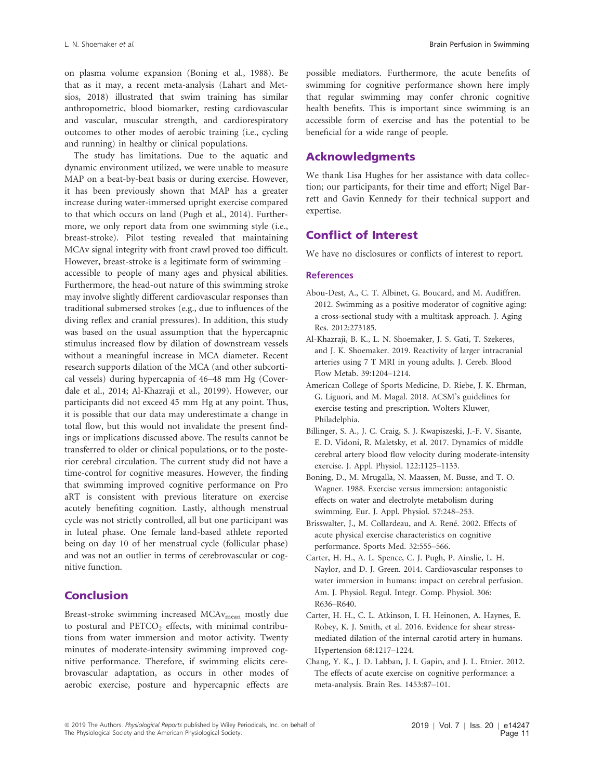on plasma volume expansion (Boning et al., 1988). Be that as it may, a recent meta-analysis (Lahart and Metsios, 2018) illustrated that swim training has similar anthropometric, blood biomarker, resting cardiovascular and vascular, muscular strength, and cardiorespiratory outcomes to other modes of aerobic training (i.e., cycling and running) in healthy or clinical populations.

The study has limitations. Due to the aquatic and dynamic environment utilized, we were unable to measure MAP on a beat-by-beat basis or during exercise. However, it has been previously shown that MAP has a greater increase during water-immersed upright exercise compared to that which occurs on land (Pugh et al., 2014). Furthermore, we only report data from one swimming style (i.e., breast-stroke). Pilot testing revealed that maintaining MCAv signal integrity with front crawl proved too difficult. However, breast-stroke is a legitimate form of swimming – accessible to people of many ages and physical abilities. Furthermore, the head-out nature of this swimming stroke may involve slightly different cardiovascular responses than traditional submersed strokes (e.g., due to influences of the diving reflex and cranial pressures). In addition, this study was based on the usual assumption that the hypercapnic stimulus increased flow by dilation of downstream vessels without a meaningful increase in MCA diameter. Recent research supports dilation of the MCA (and other subcortical vessels) during hypercapnia of 46–48 mm Hg (Coverdale et al., 2014; Al-Khazraji et al., 20199). However, our participants did not exceed 45 mm Hg at any point. Thus, it is possible that our data may underestimate a change in total flow, but this would not invalidate the present findings or implications discussed above. The results cannot be transferred to older or clinical populations, or to the posterior cerebral circulation. The current study did not have a time-control for cognitive measures. However, the finding that swimming improved cognitive performance on Pro aRT is consistent with previous literature on exercise acutely benefiting cognition. Lastly, although menstrual cycle was not strictly controlled, all but one participant was in luteal phase. One female land-based athlete reported being on day 10 of her menstrual cycle (follicular phase) and was not an outlier in terms of cerebrovascular or cognitive function.

# Conclusion

Breast-stroke swimming increased MCAv<sub>mean</sub> mostly due to postural and  $PETCO<sub>2</sub>$  effects, with minimal contributions from water immersion and motor activity. Twenty minutes of moderate-intensity swimming improved cognitive performance. Therefore, if swimming elicits cerebrovascular adaptation, as occurs in other modes of aerobic exercise, posture and hypercapnic effects are

possible mediators. Furthermore, the acute benefits of swimming for cognitive performance shown here imply that regular swimming may confer chronic cognitive health benefits. This is important since swimming is an accessible form of exercise and has the potential to be beneficial for a wide range of people.

# Acknowledgments

We thank Lisa Hughes for her assistance with data collection; our participants, for their time and effort; Nigel Barrett and Gavin Kennedy for their technical support and expertise.

# Conflict of Interest

We have no disclosures or conflicts of interest to report.

# **References**

- Abou-Dest, A., C. T. Albinet, G. Boucard, and M. Audiffren. 2012. Swimming as a positive moderator of cognitive aging: a cross-sectional study with a multitask approach. J. Aging Res. 2012:273185.
- Al-Khazraji, B. K., L. N. Shoemaker, J. S. Gati, T. Szekeres, and J. K. Shoemaker. 2019. Reactivity of larger intracranial arteries using 7 T MRI in young adults. J. Cereb. Blood Flow Metab. 39:1204–1214.
- American College of Sports Medicine, D. Riebe, J. K. Ehrman, G. Liguori, and M. Magal. 2018. ACSM's guidelines for exercise testing and prescription. Wolters Kluwer, Philadelphia.
- Billinger, S. A., J. C. Craig, S. J. Kwapiszeski, J.-F. V. Sisante, E. D. Vidoni, R. Maletsky, et al. 2017. Dynamics of middle cerebral artery blood flow velocity during moderate-intensity exercise. J. Appl. Physiol. 122:1125–1133.
- Boning, D., M. Mrugalla, N. Maassen, M. Busse, and T. O. Wagner. 1988. Exercise versus immersion: antagonistic effects on water and electrolyte metabolism during swimming. Eur. J. Appl. Physiol. 57:248–253.
- Brisswalter, J., M. Collardeau, and A. René. 2002. Effects of acute physical exercise characteristics on cognitive performance. Sports Med. 32:555-566.
- Carter, H. H., A. L. Spence, C. J. Pugh, P. Ainslie, L. H. Naylor, and D. J. Green. 2014. Cardiovascular responses to water immersion in humans: impact on cerebral perfusion. Am. J. Physiol. Regul. Integr. Comp. Physiol. 306: R636–R640.
- Carter, H. H., C. L. Atkinson, I. H. Heinonen, A. Haynes, E. Robey, K. J. Smith, et al. 2016. Evidence for shear stressmediated dilation of the internal carotid artery in humans. Hypertension 68:1217–1224.
- Chang, Y. K., J. D. Labban, J. I. Gapin, and J. L. Etnier. 2012. The effects of acute exercise on cognitive performance: a meta-analysis. Brain Res. 1453:87–101.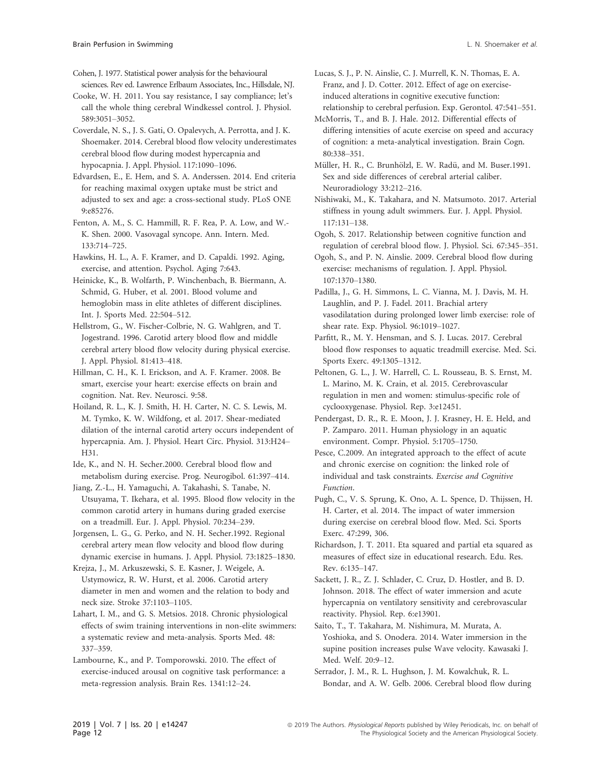Cohen, J. 1977. Statistical power analysis for the behavioural

sciences. Rev ed. Lawrence Erlbaum Associates, Inc., Hillsdale, NJ. Cooke, W. H. 2011. You say resistance, I say compliance; let's

call the whole thing cerebral Windkessel control. J. Physiol. 589:3051–3052. Coverdale, N. S., J. S. Gati, O. Opalevych, A. Perrotta, and J. K.

Shoemaker. 2014. Cerebral blood flow velocity underestimates cerebral blood flow during modest hypercapnia and hypocapnia. J. Appl. Physiol. 117:1090–1096.

Edvardsen, E., E. Hem, and S. A. Anderssen. 2014. End criteria for reaching maximal oxygen uptake must be strict and adjusted to sex and age: a cross-sectional study. PLoS ONE 9:e85276.

Fenton, A. M., S. C. Hammill, R. F. Rea, P. A. Low, and W.- K. Shen. 2000. Vasovagal syncope. Ann. Intern. Med. 133:714–725.

Hawkins, H. L., A. F. Kramer, and D. Capaldi. 1992. Aging, exercise, and attention. Psychol. Aging 7:643.

Heinicke, K., B. Wolfarth, P. Winchenbach, B. Biermann, A. Schmid, G. Huber, et al. 2001. Blood volume and hemoglobin mass in elite athletes of different disciplines. Int. J. Sports Med. 22:504–512.

Hellstrom, G., W. Fischer-Colbrie, N. G. Wahlgren, and T. Jogestrand. 1996. Carotid artery blood flow and middle cerebral artery blood flow velocity during physical exercise. J. Appl. Physiol. 81:413–418.

Hillman, C. H., K. I. Erickson, and A. F. Kramer. 2008. Be smart, exercise your heart: exercise effects on brain and cognition. Nat. Rev. Neurosci. 9:58.

Hoiland, R. L., K. J. Smith, H. H. Carter, N. C. S. Lewis, M. M. Tymko, K. W. Wildfong, et al. 2017. Shear-mediated dilation of the internal carotid artery occurs independent of hypercapnia. Am. J. Physiol. Heart Circ. Physiol. 313:H24– H31.

Ide, K., and N. H. Secher.2000. Cerebral blood flow and metabolism during exercise. Prog. Neurogibol. 61:397–414.

Jiang, Z.-L., H. Yamaguchi, A. Takahashi, S. Tanabe, N. Utsuyama, T. Ikehara, et al. 1995. Blood flow velocity in the common carotid artery in humans during graded exercise on a treadmill. Eur. J. Appl. Physiol. 70:234–239.

Jorgensen, L. G., G. Perko, and N. H. Secher.1992. Regional cerebral artery mean flow velocity and blood flow during dynamic exercise in humans. J. Appl. Physiol. 73:1825–1830.

Krejza, J., M. Arkuszewski, S. E. Kasner, J. Weigele, A. Ustymowicz, R. W. Hurst, et al. 2006. Carotid artery diameter in men and women and the relation to body and neck size. Stroke 37:1103–1105.

Lahart, I. M., and G. S. Metsios. 2018. Chronic physiological effects of swim training interventions in non-elite swimmers: a systematic review and meta-analysis. Sports Med. 48: 337–359.

Lambourne, K., and P. Tomporowski. 2010. The effect of exercise-induced arousal on cognitive task performance: a meta-regression analysis. Brain Res. 1341:12–24.

Lucas, S. J., P. N. Ainslie, C. J. Murrell, K. N. Thomas, E. A. Franz, and J. D. Cotter. 2012. Effect of age on exerciseinduced alterations in cognitive executive function: relationship to cerebral perfusion. Exp. Gerontol. 47:541–551.

McMorris, T., and B. J. Hale. 2012. Differential effects of differing intensities of acute exercise on speed and accuracy of cognition: a meta-analytical investigation. Brain Cogn. 80:338–351.

Müller, H. R., C. Brunhölzl, E. W. Radü, and M. Buser.1991. Sex and side differences of cerebral arterial caliber. Neuroradiology 33:212–216.

Nishiwaki, M., K. Takahara, and N. Matsumoto. 2017. Arterial stiffness in young adult swimmers. Eur. J. Appl. Physiol. 117:131–138.

Ogoh, S. 2017. Relationship between cognitive function and regulation of cerebral blood flow. J. Physiol. Sci. 67:345–351.

Ogoh, S., and P. N. Ainslie. 2009. Cerebral blood flow during exercise: mechanisms of regulation. J. Appl. Physiol. 107:1370–1380.

Padilla, J., G. H. Simmons, L. C. Vianna, M. J. Davis, M. H. Laughlin, and P. J. Fadel. 2011. Brachial artery vasodilatation during prolonged lower limb exercise: role of shear rate. Exp. Physiol. 96:1019–1027.

Parfitt, R., M. Y. Hensman, and S. J. Lucas. 2017. Cerebral blood flow responses to aquatic treadmill exercise. Med. Sci. Sports Exerc. 49:1305–1312.

Peltonen, G. L., J. W. Harrell, C. L. Rousseau, B. S. Ernst, M. L. Marino, M. K. Crain, et al. 2015. Cerebrovascular regulation in men and women: stimulus-specific role of cyclooxygenase. Physiol. Rep. 3:e12451.

Pendergast, D. R., R. E. Moon, J. J. Krasney, H. E. Held, and P. Zamparo. 2011. Human physiology in an aquatic environment. Compr. Physiol. 5:1705–1750.

Pesce, C.2009. An integrated approach to the effect of acute and chronic exercise on cognition: the linked role of individual and task constraints. Exercise and Cognitive Function.

Pugh, C., V. S. Sprung, K. Ono, A. L. Spence, D. Thijssen, H. H. Carter, et al. 2014. The impact of water immersion during exercise on cerebral blood flow. Med. Sci. Sports Exerc. 47:299, 306.

Richardson, J. T. 2011. Eta squared and partial eta squared as measures of effect size in educational research. Edu. Res. Rev. 6:135–147.

Sackett, J. R., Z. J. Schlader, C. Cruz, D. Hostler, and B. D. Johnson. 2018. The effect of water immersion and acute hypercapnia on ventilatory sensitivity and cerebrovascular reactivity. Physiol. Rep. 6:e13901.

Saito, T., T. Takahara, M. Nishimura, M. Murata, A. Yoshioka, and S. Onodera. 2014. Water immersion in the supine position increases pulse Wave velocity. Kawasaki J. Med. Welf. 20:9–12.

Serrador, J. M., R. L. Hughson, J. M. Kowalchuk, R. L. Bondar, and A. W. Gelb. 2006. Cerebral blood flow during